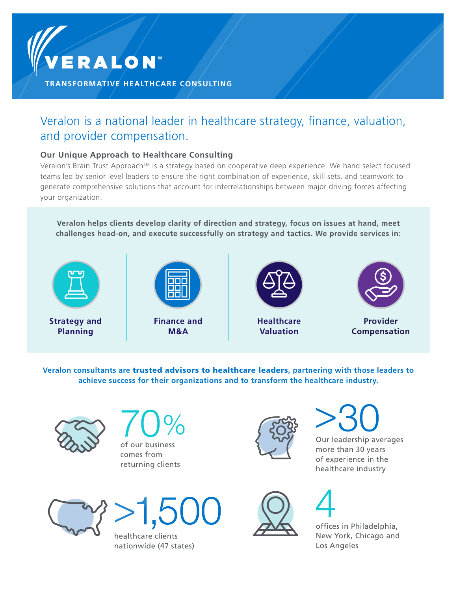

**TRANSFORMATIVE HEALTHCARE CONSULTING**

# Veralon is a national leader in healthcare strategy, finance, valuation, and provider compensation.

### **Our Unique Approach to Healthcare Consulting**

Veralon's Brain Trust Approach™ is a strategy based on cooperative deep experience. We hand select focused teams led by senior level leaders to ensure the right combination of experience, skill sets, and teamwork to generate comprehensive solutions that account for interrelationships between major driving forces affecting your organization.

**Veralon helps clients develop clarity of direction and strategy, focus on issues at hand, meet challenges head-on, and execute successfully on strategy and tactics. We provide services in:**



**Veralon consultants are** trusted advisors to healthcare leaders**, partnering with those leaders to achieve success for their organizations and to transform the healthcare industry.**



of our business comes from returning clients



Our leadership averages more than 30 years of experience in the

healthcare industry





healthcare clients nationwide (47 states)



offices in Philadelphia, New York, Chicago and Los Angeles